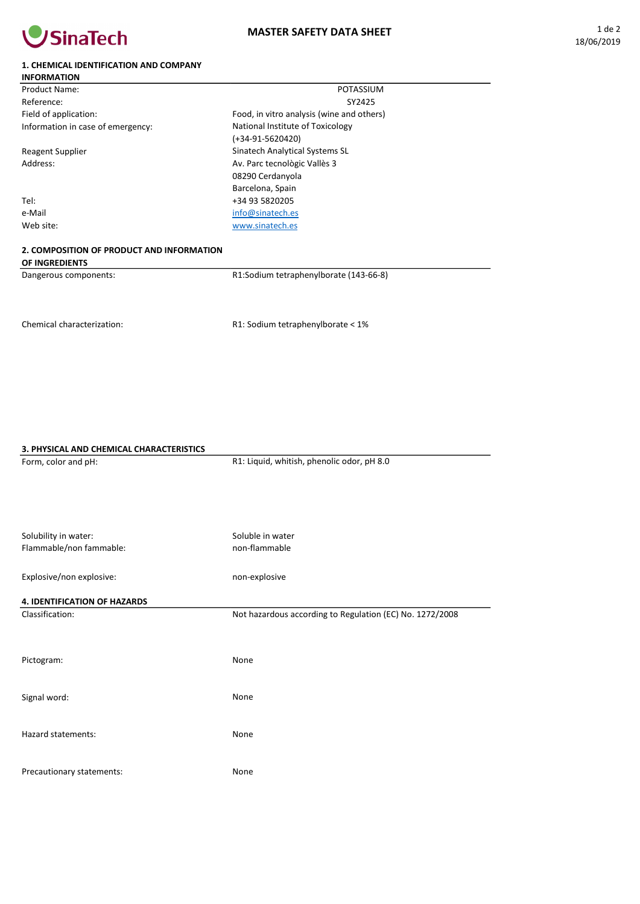

## 1. CHEMICAL IDENTIFICATION AND COMPANY

| <b>INFORMATION</b>                |                                           |  |
|-----------------------------------|-------------------------------------------|--|
| Product Name:                     | POTASSIUM                                 |  |
| Reference:                        | SY2425                                    |  |
| Field of application:             | Food, in vitro analysis (wine and others) |  |
| Information in case of emergency: | National Institute of Toxicology          |  |
|                                   | $(+34-91-5620420)$                        |  |
| <b>Reagent Supplier</b>           | Sinatech Analytical Systems SL            |  |
| Address:                          | Av. Parc tecnològic Vallès 3              |  |
|                                   | 08290 Cerdanyola                          |  |
|                                   | Barcelona, Spain                          |  |
| Tel:                              | +34 93 5820205                            |  |
| e-Mail                            | info@sinatech.es                          |  |
| Web site:                         | www.sinatech.es                           |  |
|                                   |                                           |  |

## 2. COMPOSITION OF PRODUCT AND INFORMATION OF INGREDIENTS

Dangerous components:

R1:Sodium tetraphenylborate (143-66-8)

Chemical characterization:

R1: Sodium tetraphenylborate < 1%

## 3. PHYSICAL AND CHEMICAL CHARACTERISTICS

Form, color and pH: Solubility in water: Flammable/non fammable: Explosive/non explosive: 4. IDENTIFICATION OF HAZARDS Classification: Pictogram: Signal word: Hazard statements: Precautionary statements: R1: Liquid, whitish, phenolic odor, pH 8.0 Soluble in water non-flammable non-explosive Not hazardous according to Regulation (EC) No. 1272/2008 None None None None